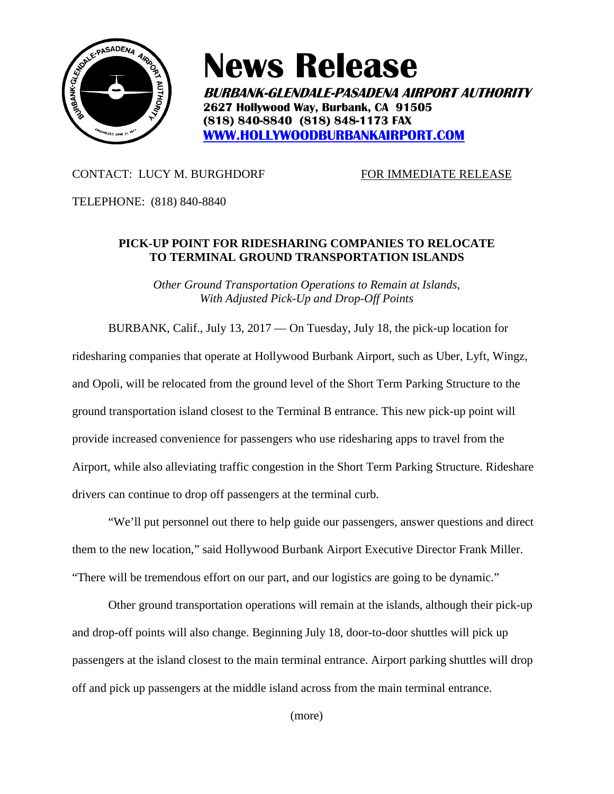

## **News Release**

**BURBANK-GLENDALE-PASADENA AIRPORT AUTHORITY 2627 Hollywood Way, Burbank, CA 91505 (818) 840-8840 (818) 848-1173 FAX [WWW.HOLLYWOODBURBANKAIRPORT.COM](http://www.hollywoodburbankairport.com/)**

## CONTACT: LUCY M. BURGHDORF FOR IMMEDIATE RELEASE

TELEPHONE: (818) 840-8840

## **PICK-UP POINT FOR RIDESHARING COMPANIES TO RELOCATE TO TERMINAL GROUND TRANSPORTATION ISLANDS**

*Other Ground Transportation Operations to Remain at Islands, With Adjusted Pick-Up and Drop-Off Points*

BURBANK, Calif., July 13, 2017 — On Tuesday, July 18, the pick-up location for ridesharing companies that operate at Hollywood Burbank Airport, such as Uber, Lyft, Wingz, and Opoli, will be relocated from the ground level of the Short Term Parking Structure to the ground transportation island closest to the Terminal B entrance. This new pick-up point will provide increased convenience for passengers who use ridesharing apps to travel from the Airport, while also alleviating traffic congestion in the Short Term Parking Structure. Rideshare drivers can continue to drop off passengers at the terminal curb.

"We'll put personnel out there to help guide our passengers, answer questions and direct them to the new location," said Hollywood Burbank Airport Executive Director Frank Miller. "There will be tremendous effort on our part, and our logistics are going to be dynamic."

Other ground transportation operations will remain at the islands, although their pick-up and drop-off points will also change. Beginning July 18, door-to-door shuttles will pick up passengers at the island closest to the main terminal entrance. Airport parking shuttles will drop off and pick up passengers at the middle island across from the main terminal entrance.

(more)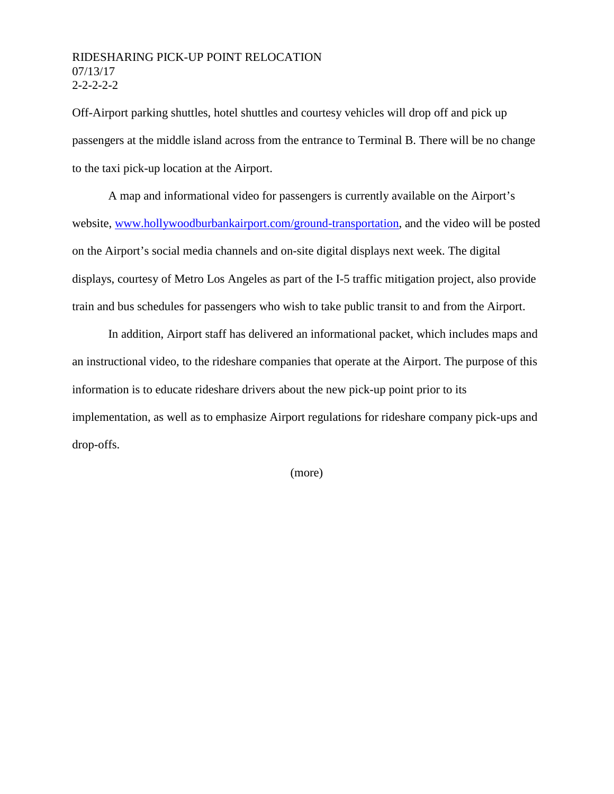## RIDESHARING PICK-UP POINT RELOCATION 07/13/17 2-2-2-2-2

Off-Airport parking shuttles, hotel shuttles and courtesy vehicles will drop off and pick up passengers at the middle island across from the entrance to Terminal B. There will be no change to the taxi pick-up location at the Airport.

A map and informational video for passengers is currently available on the Airport's website, [www.hollywoodburbankairport.com/ground-transportation,](http://www.hollywoodburbankairport.com/ground-transportation) and the video will be posted on the Airport's social media channels and on-site digital displays next week. The digital displays, courtesy of Metro Los Angeles as part of the I-5 traffic mitigation project, also provide train and bus schedules for passengers who wish to take public transit to and from the Airport.

In addition, Airport staff has delivered an informational packet, which includes maps and an instructional video, to the rideshare companies that operate at the Airport. The purpose of this information is to educate rideshare drivers about the new pick-up point prior to its implementation, as well as to emphasize Airport regulations for rideshare company pick-ups and drop-offs.

(more)